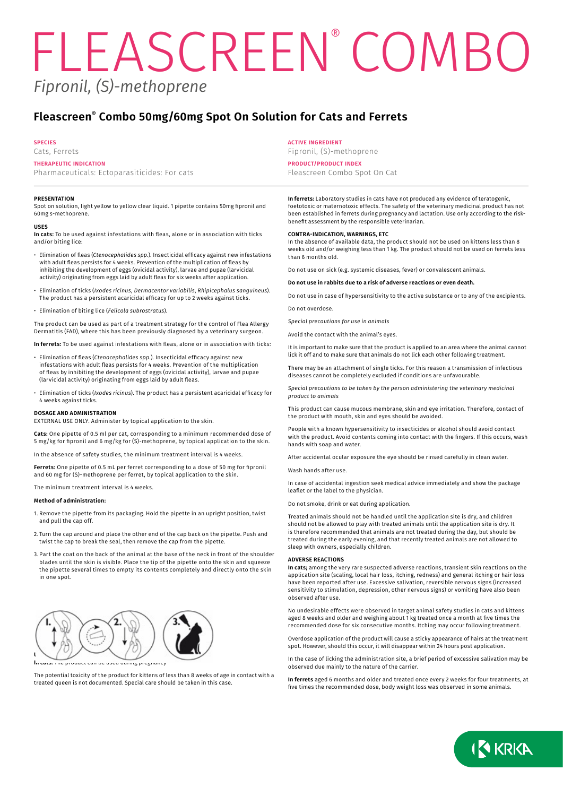# *Fipronil, (S)-methoprene* FLEASCREEN<sup>®</sup> COMBO

# **Fleascreen® Combo 50mg/60mg Spot On Solution for Cats and Ferrets**

#### **SPECIES**

Cats, Ferrets

# **THERAPEUTIC INDICATION**

Pharmaceuticals: Ectoparasiticides: For cats

#### **PRESENTATION**

Spot on solution, light yellow to yellow clear liquid. 1 pipette contains 50mg fipronil and 60mg s-methoprene.

#### **USES**

**In cats:** To be used against infestations with fleas, alone or in association with ticks and/or biting lice:

- Elimination of fleas (*Ctenocephalides spp.*). Insecticidal efficacy against new infestations with adult fleas persists for 4 weeks. Prevention of the multiplication of fleas by inhibiting the development of eggs (ovicidal activity), larvae and pupae (larvicidal activity) originating from eggs laid by adult fleas for six weeks after application.
- Elimination of ticks (*Ixodes ricinus*, *Dermacentor variabilis*, *Rhipicephalus sanguineus*). The product has a persistent acaricidal efficacy for up to 2 weeks against ticks.
- Elimination of biting lice (*Felicola subrostratus*).

The product can be used as part of a treatment strategy for the control of Flea Allergy Dermatitis (FAD), where this has been previously diagnosed by a veterinary surgeon.

**In ferrets:** To be used against infestations with fleas, alone or in association with ticks:

- Elimination of fleas (*Ctenocephalides spp.*). Insecticidal efficacy against new infestations with adult fleas persists for 4 weeks. Prevention of the multiplication of fleas by inhibiting the development of eggs (ovicidal activity), larvae and pupae (larvicidal activity) originating from eggs laid by adult fleas.
- Elimination of ticks (*Ixodes ricinus*). The product has a persistent acaricidal efficacy for 4 weeks against ticks.

#### **DOSAGE AND ADMINISTRATION**

EXTERNAL USE ONLY. Administer by topical application to the skin.

**Cats:** One pipette of 0.5 ml per cat, corresponding to a minimum recommended dose of 5 mg/kg for fipronil and 6 mg/kg for (S)-methoprene, by topical application to the skin.

In the absence of safety studies, the minimum treatment interval is 4 weeks.

**Ferrets:** One pipette of 0.5 mL per ferret corresponding to a dose of 50 mg for fipronil and 60 mg for (S)-methoprene per ferret, by topical application to the skin.

The minimum treatment interval is 4 weeks.

#### **Method of administration:**

- 1. Remove the pipette from its packaging. Hold the pipette in an upright position, twist and pull the cap off.
- 2. Turn the cap around and place the other end of the cap back on the pipette. Push and twist the cap to break the seal, then remove the cap from the pipette.
- 3. Part the coat on the back of the animal at the base of the neck in front of the shoulder blades until the skin is visible. Place the tip of the pipette onto the skin and squeeze the pipette several times to empty its contents completely and directly onto the skin in one spot.



The potential toxicity of the product for kittens of less than 8 weeks of age in contact with a treated queen is not documented. Special care should be taken in this case.

#### **ACTIVE INGREDIENT**

Fipronil, (S)-methoprene

# **PRODUCT/PRODUCT INDEX**

Fleascreen Combo Spot On Cat

**In ferrets:** Laboratory studies in cats have not produced any evidence of teratogenic, foetotoxic or maternotoxic effects. The safety of the veterinary medicinal product has not been established in ferrets during pregnancy and lactation. Use only according to the riskbenefit assessment by the responsible veterinarian.

# **CONTRA-INDICATION, WARNINGS, ETC**

In the absence of available data, the product should not be used on kittens less than 8 weeks old and/or weighing less than 1 kg. The product should not be used on ferrets less than 6 months old.

Do not use on sick (e.g. systemic diseases, fever) or convalescent animals.

#### **Do not use in rabbits due to a risk of adverse reactions or even death.**

Do not use in case of hypersensitivity to the active substance or to any of the excipients. Do not overdose.

*Special precautions for use in animals*

Avoid the contact with the animal's eyes.

It is important to make sure that the product is applied to an area where the animal cannot lick it off and to make sure that animals do not lick each other following treatment.

There may be an attachment of single ticks. For this reason a transmission of infectious diseases cannot be completely excluded if conditions are unfavourable.

*Special precautions to be taken by the person administering the veterinary medicinal product to animals*

This product can cause mucous membrane, skin and eye irritation. Therefore, contact of the product with mouth, skin and eyes should be avoided.

People with a known hypersensitivity to insecticides or alcohol should avoid contact with the product. Avoid contents coming into contact with the fingers. If this occurs, wash hands with soap and water.

After accidental ocular exposure the eye should be rinsed carefully in clean water.

Wash hands after use.

In case of accidental ingestion seek medical advice immediately and show the package leaflet or the label to the physician.

Do not smoke, drink or eat during application.

Treated animals should not be handled until the application site is dry, and children should not be allowed to play with treated animals until the application site is dry. It is therefore recommended that animals are not treated during the day, but should be treated during the early evening, and that recently treated animals are not allowed to sleep with owners, especially children.

#### **ADVERSE REACTIONS**

**In cats;** among the very rare suspected adverse reactions, transient skin reactions on the application site (scaling, local hair loss, itching, redness) and general itching or hair loss have been reported after use. Excessive salivation, reversible nervous signs (increased sensitivity to stimulation, depression, other nervous signs) or vomiting have also been observed after use.

No undesirable effects were observed in target animal safety studies in cats and kittens aged 8 weeks and older and weighing about 1 kg treated once a month at five times the recommended dose for six consecutive months. Itching may occur following treatment.

Overdose application of the product will cause a sticky appearance of hairs at the treatment spot. However, should this occur, it will disappear within 24 hours post application.

In the case of licking the administration site, a brief period of excessive salivation may be observed due mainly to the nature of the carrier.

**In ferrets** aged 6 months and older and treated once every 2 weeks for four treatments, at five times the recommended dose, body weight loss was observed in some animals.